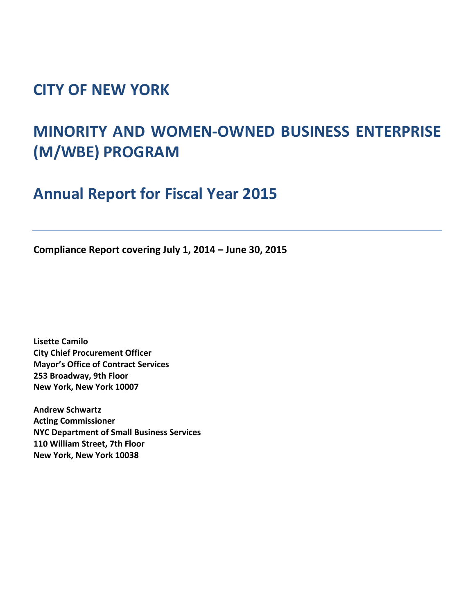## **CITY OF NEW YORK**

# **MINORITY AND WOMEN-OWNED BUSINESS ENTERPRISE (M/WBE) PROGRAM**

**Annual Report for Fiscal Year 2015**

**Compliance Report covering July 1, 2014 – June 30, 2015**

**Lisette Camilo City Chief Procurement Officer Mayor's Office of Contract Services 253 Broadway, 9th Floor New York, New York 10007**

**Andrew Schwartz Acting Commissioner NYC Department of Small Business Services 110 William Street, 7th Floor New York, New York 10038**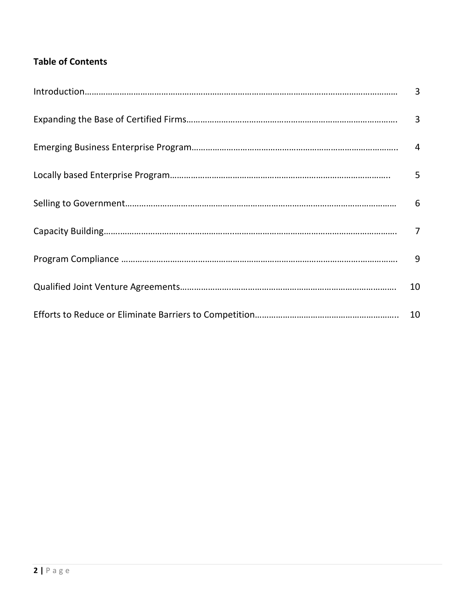### **Table of Contents**

| 5  |
|----|
|    |
|    |
| 9  |
| 10 |
|    |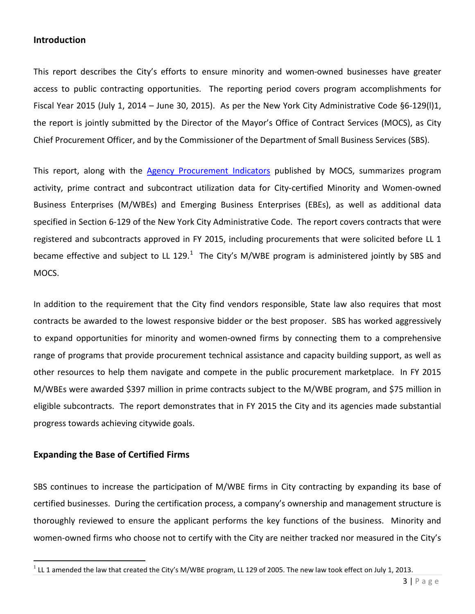#### **Introduction**

This report describes the City's efforts to ensure minority and women-owned businesses have greater access to public contracting opportunities. The reporting period covers program accomplishments for Fiscal Year 2015 (July 1, 2014 – June 30, 2015). As per the New York City Administrative Code §6-129(l)1, the report is jointly submitted by the Director of the Mayor's Office of Contract Services (MOCS), as City Chief Procurement Officer, and by the Commissioner of the Department of Small Business Services (SBS).

This report, along with the [Agency Procurement Indicators](http://www1.nyc.gov/site/mocs/resources/publications.page) published by MOCS, summarizes program activity, prime contract and subcontract utilization data for City-certified Minority and Women-owned Business Enterprises (M/WBEs) and Emerging Business Enterprises (EBEs), as well as additional data specified in Section 6-129 of the New York City Administrative Code. The report covers contracts that were registered and subcontracts approved in FY 2015, including procurements that were solicited before LL 1 became effective and subject to LL [1](#page-2-0)29.<sup>1</sup> The City's M/WBE program is administered jointly by SBS and MOCS.

In addition to the requirement that the City find vendors responsible, State law also requires that most contracts be awarded to the lowest responsive bidder or the best proposer. SBS has worked aggressively to expand opportunities for minority and women-owned firms by connecting them to a comprehensive range of programs that provide procurement technical assistance and capacity building support, as well as other resources to help them navigate and compete in the public procurement marketplace. In FY 2015 M/WBEs were awarded \$397 million in prime contracts subject to the M/WBE program, and \$75 million in eligible subcontracts. The report demonstrates that in FY 2015 the City and its agencies made substantial progress towards achieving citywide goals.

#### **Expanding the Base of Certified Firms**

 $\overline{\phantom{a}}$ 

SBS continues to increase the participation of M/WBE firms in City contracting by expanding its base of certified businesses. During the certification process, a company's ownership and management structure is thoroughly reviewed to ensure the applicant performs the key functions of the business. Minority and women-owned firms who choose not to certify with the City are neither tracked nor measured in the City's

<span id="page-2-0"></span> $1$  LL 1 amended the law that created the City's M/WBE program, LL 129 of 2005. The new law took effect on July 1, 2013.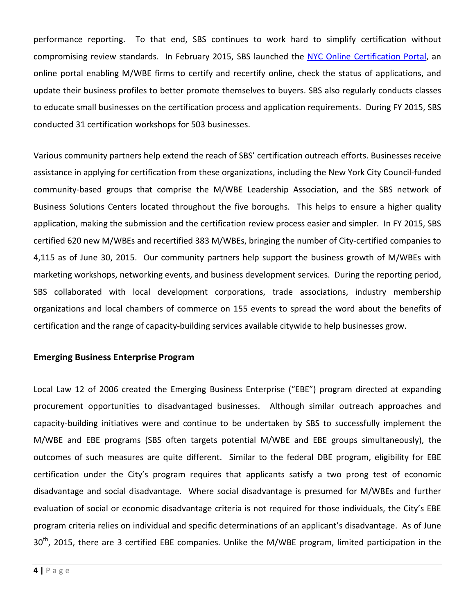performance reporting. To that end, SBS continues to work hard to simplify certification without compromising review standards. In February 2015, SBS launched the [NYC Online Certification Portal,](https://a801-sbscssp.nyc.gov/CitizenAccess/) an online portal enabling M/WBE firms to certify and recertify online, check the status of applications, and update their business profiles to better promote themselves to buyers. SBS also regularly conducts classes to educate small businesses on the certification process and application requirements. During FY 2015, SBS conducted 31 certification workshops for 503 businesses.

Various community partners help extend the reach of SBS' certification outreach efforts. Businesses receive assistance in applying for certification from these organizations, including the New York City Council-funded community-based groups that comprise the M/WBE Leadership Association, and the SBS network of Business Solutions Centers located throughout the five boroughs. This helps to ensure a higher quality application, making the submission and the certification review process easier and simpler. In FY 2015, SBS certified 620 new M/WBEs and recertified 383 M/WBEs, bringing the number of City-certified companies to 4,115 as of June 30, 2015. Our community partners help support the business growth of M/WBEs with marketing workshops, networking events, and business development services. During the reporting period, SBS collaborated with local development corporations, trade associations, industry membership organizations and local chambers of commerce on 155 events to spread the word about the benefits of certification and the range of capacity-building services available citywide to help businesses grow.

#### **Emerging Business Enterprise Program**

Local Law 12 of 2006 created the Emerging Business Enterprise ("EBE") program directed at expanding procurement opportunities to disadvantaged businesses. Although similar outreach approaches and capacity-building initiatives were and continue to be undertaken by SBS to successfully implement the M/WBE and EBE programs (SBS often targets potential M/WBE and EBE groups simultaneously), the outcomes of such measures are quite different. Similar to the federal DBE program, eligibility for EBE certification under the City's program requires that applicants satisfy a two prong test of economic disadvantage and social disadvantage. Where social disadvantage is presumed for M/WBEs and further evaluation of social or economic disadvantage criteria is not required for those individuals, the City's EBE program criteria relies on individual and specific determinations of an applicant's disadvantage. As of June 30<sup>th</sup>. 2015, there are 3 certified EBE companies. Unlike the M/WBE program, limited participation in the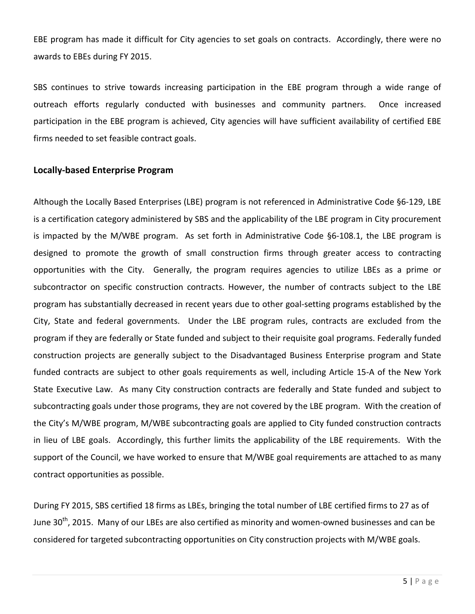EBE program has made it difficult for City agencies to set goals on contracts. Accordingly, there were no awards to EBEs during FY 2015.

SBS continues to strive towards increasing participation in the EBE program through a wide range of outreach efforts regularly conducted with businesses and community partners. Once increased participation in the EBE program is achieved, City agencies will have sufficient availability of certified EBE firms needed to set feasible contract goals.

#### **Locally-based Enterprise Program**

Although the Locally Based Enterprises (LBE) program is not referenced in Administrative Code §6-129, LBE is a certification category administered by SBS and the applicability of the LBE program in City procurement is impacted by the M/WBE program. As set forth in Administrative Code §6-108.1, the LBE program is designed to promote the growth of small construction firms through greater access to contracting opportunities with the City. Generally, the program requires agencies to utilize LBEs as a prime or subcontractor on specific construction contracts. However, the number of contracts subject to the LBE program has substantially decreased in recent years due to other goal-setting programs established by the City, State and federal governments. Under the LBE program rules, contracts are excluded from the program if they are federally or State funded and subject to their requisite goal programs. Federally funded construction projects are generally subject to the Disadvantaged Business Enterprise program and State funded contracts are subject to other goals requirements as well, including Article 15-A of the New York State Executive Law. As many City construction contracts are federally and State funded and subject to subcontracting goals under those programs, they are not covered by the LBE program. With the creation of the City's M/WBE program, M/WBE subcontracting goals are applied to City funded construction contracts in lieu of LBE goals. Accordingly, this further limits the applicability of the LBE requirements. With the support of the Council, we have worked to ensure that M/WBE goal requirements are attached to as many contract opportunities as possible.

During FY 2015, SBS certified 18 firms as LBEs, bringing the total number of LBE certified firms to 27 as of June 30<sup>th</sup>, 2015. Many of our LBEs are also certified as minority and women-owned businesses and can be considered for targeted subcontracting opportunities on City construction projects with M/WBE goals.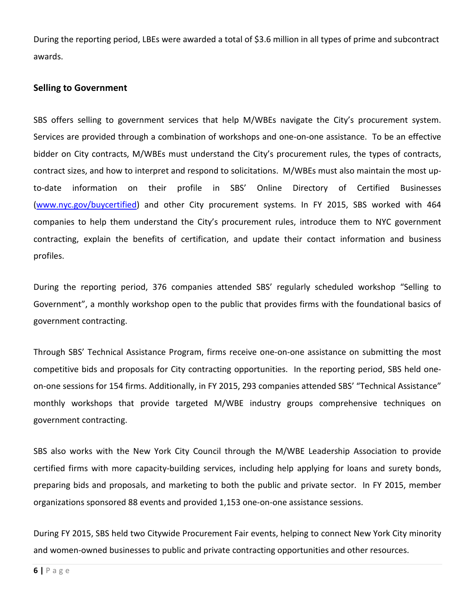During the reporting period, LBEs were awarded a total of \$3.6 million in all types of prime and subcontract awards.

#### **Selling to Government**

SBS offers selling to government services that help M/WBEs navigate the City's procurement system. Services are provided through a combination of workshops and one-on-one assistance. To be an effective bidder on City contracts, M/WBEs must understand the City's procurement rules, the types of contracts, contract sizes, and how to interpret and respond to solicitations. M/WBEs must also maintain the most upto-date information on their profile in SBS' Online Directory of Certified Businesses [\(www.nyc.gov/buycertified\)](http://www.nyc.gov/buycertified) and other City procurement systems. In FY 2015, SBS worked with 464 companies to help them understand the City's procurement rules, introduce them to NYC government contracting, explain the benefits of certification, and update their contact information and business profiles.

During the reporting period, 376 companies attended SBS' regularly scheduled workshop "Selling to Government", a monthly workshop open to the public that provides firms with the foundational basics of government contracting.

Through SBS' Technical Assistance Program, firms receive one-on-one assistance on submitting the most competitive bids and proposals for City contracting opportunities. In the reporting period, SBS held oneon-one sessions for 154 firms. Additionally, in FY 2015, 293 companies attended SBS' "Technical Assistance" monthly workshops that provide targeted M/WBE industry groups comprehensive techniques on government contracting.

SBS also works with the New York City Council through the M/WBE Leadership Association to provide certified firms with more capacity-building services, including help applying for loans and surety bonds, preparing bids and proposals, and marketing to both the public and private sector. In FY 2015, member organizations sponsored 88 events and provided 1,153 one-on-one assistance sessions.

During FY 2015, SBS held two Citywide Procurement Fair events, helping to connect New York City minority and women-owned businesses to public and private contracting opportunities and other resources.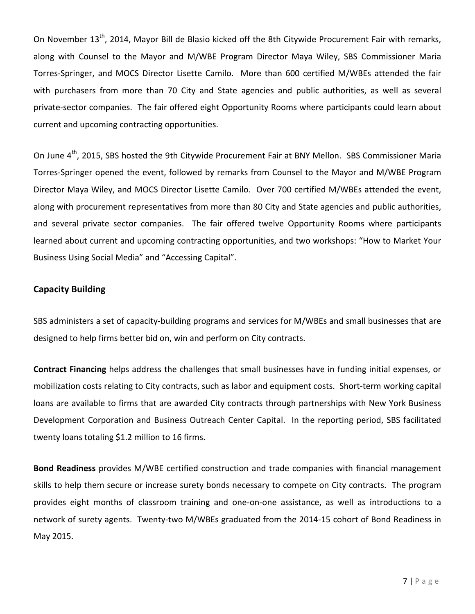On November 13<sup>th</sup>, 2014, Mayor Bill de Blasio kicked off the 8th Citywide Procurement Fair with remarks, along with Counsel to the Mayor and M/WBE Program Director Maya Wiley, SBS Commissioner Maria Torres-Springer, and MOCS Director Lisette Camilo. More than 600 certified M/WBEs attended the fair with purchasers from more than 70 City and State agencies and public authorities, as well as several private-sector companies. The fair offered eight Opportunity Rooms where participants could learn about current and upcoming contracting opportunities.

On June 4<sup>th</sup>, 2015, SBS hosted the 9th Citywide Procurement Fair at BNY Mellon. SBS Commissioner Maria Torres-Springer opened the event, followed by remarks from Counsel to the Mayor and M/WBE Program Director Maya Wiley, and MOCS Director Lisette Camilo. Over 700 certified M/WBEs attended the event, along with procurement representatives from more than 80 City and State agencies and public authorities, and several private sector companies. The fair offered twelve Opportunity Rooms where participants learned about current and upcoming contracting opportunities, and two workshops: "How to Market Your Business Using Social Media" and "Accessing Capital".

#### **Capacity Building**

SBS administers a set of capacity-building programs and services for M/WBEs and small businesses that are designed to help firms better bid on, win and perform on City contracts.

**Contract Financing** helps address the challenges that small businesses have in funding initial expenses, or mobilization costs relating to City contracts, such as labor and equipment costs. Short-term working capital loans are available to firms that are awarded City contracts through partnerships with New York Business Development Corporation and Business Outreach Center Capital. In the reporting period, SBS facilitated twenty loans totaling \$1.2 million to 16 firms.

**Bond Readiness** provides M/WBE certified construction and trade companies with financial management skills to help them secure or increase surety bonds necessary to compete on City contracts. The program provides eight months of classroom training and one-on-one assistance, as well as introductions to a network of surety agents. Twenty-two M/WBEs graduated from the 2014-15 cohort of Bond Readiness in May 2015.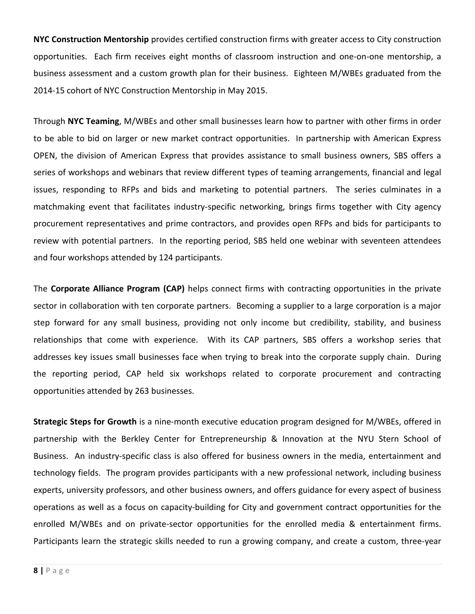**NYC Construction Mentorship** provides certified construction firms with greater access to City construction opportunities. Each firm receives eight months of classroom instruction and one-on-one mentorship, a business assessment and a custom growth plan for their business. Eighteen M/WBEs graduated from the 2014-15 cohort of NYC Construction Mentorship in May 2015.

Through **NYC Teaming**, M/WBEs and other small businesses learn how to partner with other firms in order to be able to bid on larger or new market contract opportunities. In partnership with American Express OPEN, the division of American Express that provides assistance to small business owners, SBS offers a series of workshops and webinars that review different types of teaming arrangements, financial and legal issues, responding to RFPs and bids and marketing to potential partners. The series culminates in a matchmaking event that facilitates industry-specific networking, brings firms together with City agency procurement representatives and prime contractors, and provides open RFPs and bids for participants to review with potential partners. In the reporting period, SBS held one webinar with seventeen attendees and four workshops attended by 124 participants.

The **Corporate Alliance Program (CAP)** helps connect firms with contracting opportunities in the private sector in collaboration with ten corporate partners. Becoming a supplier to a large corporation is a major step forward for any small business, providing not only income but credibility, stability, and business relationships that come with experience. With its CAP partners, SBS offers a workshop series that addresses key issues small businesses face when trying to break into the corporate supply chain. During the reporting period, CAP held six workshops related to corporate procurement and contracting opportunities attended by 263 businesses.

**Strategic Steps for Growth** is a nine-month executive education program designed for M/WBEs, offered in partnership with the Berkley Center for Entrepreneurship & Innovation at the NYU Stern School of Business. An industry-specific class is also offered for business owners in the media, entertainment and technology fields. The program provides participants with a new professional network, including business experts, university professors, and other business owners, and offers guidance for every aspect of business operations as well as a focus on capacity-building for City and government contract opportunities for the enrolled M/WBEs and on private-sector opportunities for the enrolled media & entertainment firms. Participants learn the strategic skills needed to run a growing company, and create a custom, three-year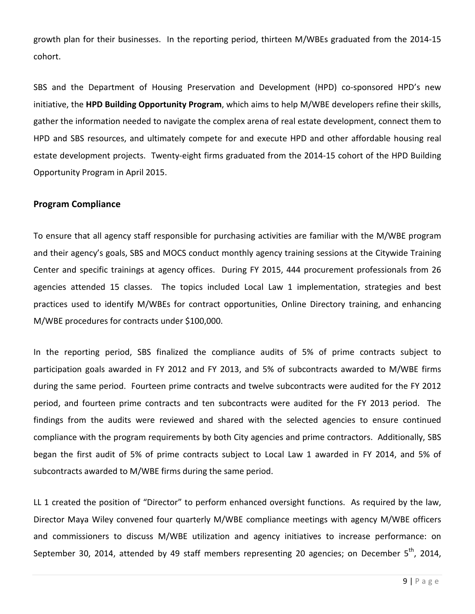growth plan for their businesses. In the reporting period, thirteen M/WBEs graduated from the 2014-15 cohort.

SBS and the Department of Housing Preservation and Development (HPD) co-sponsored HPD's new initiative, the **HPD Building Opportunity Program**, which aims to help M/WBE developers refine their skills, gather the information needed to navigate the complex arena of real estate development, connect them to HPD and SBS resources, and ultimately compete for and execute HPD and other affordable housing real estate development projects. Twenty-eight firms graduated from the 2014-15 cohort of the HPD Building Opportunity Program in April 2015.

#### **Program Compliance**

To ensure that all agency staff responsible for purchasing activities are familiar with the M/WBE program and their agency's goals, SBS and MOCS conduct monthly agency training sessions at the Citywide Training Center and specific trainings at agency offices. During FY 2015, 444 procurement professionals from 26 agencies attended 15 classes. The topics included Local Law 1 implementation, strategies and best practices used to identify M/WBEs for contract opportunities, Online Directory training, and enhancing M/WBE procedures for contracts under \$100,000.

In the reporting period, SBS finalized the compliance audits of 5% of prime contracts subject to participation goals awarded in FY 2012 and FY 2013, and 5% of subcontracts awarded to M/WBE firms during the same period. Fourteen prime contracts and twelve subcontracts were audited for the FY 2012 period, and fourteen prime contracts and ten subcontracts were audited for the FY 2013 period. The findings from the audits were reviewed and shared with the selected agencies to ensure continued compliance with the program requirements by both City agencies and prime contractors. Additionally, SBS began the first audit of 5% of prime contracts subject to Local Law 1 awarded in FY 2014, and 5% of subcontracts awarded to M/WBE firms during the same period.

LL 1 created the position of "Director" to perform enhanced oversight functions. As required by the law, Director Maya Wiley convened four quarterly M/WBE compliance meetings with agency M/WBE officers and commissioners to discuss M/WBE utilization and agency initiatives to increase performance: on September 30, 2014, attended by 49 staff members representing 20 agencies; on December  $5^{th}$ , 2014,